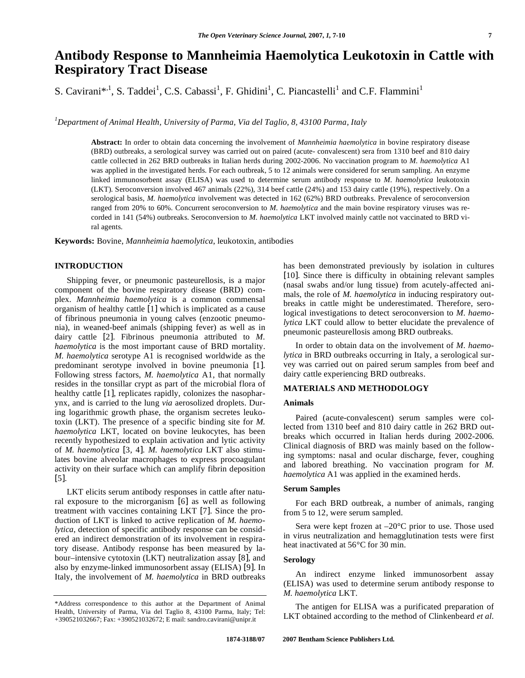# **Antibody Response to Mannheimia Haemolytica Leukotoxin in Cattle with Respiratory Tract Disease**

S. Cavirani\*<sup>,1</sup>, S. Taddei<sup>1</sup>, C.S. Cabassi<sup>1</sup>, F. Ghidini<sup>1</sup>, C. Piancastelli<sup>1</sup> and C.F. Flammini<sup>1</sup>

*1 Department of Animal Health, University of Parma, Via del Taglio, 8, 43100 Parma, Italy* 

**Abstract:** In order to obtain data concerning the involvement of *Mannheimia haemolytica* in bovine respiratory disease (BRD) outbreaks, a serological survey was carried out on paired (acute- convalescent) sera from 1310 beef and 810 dairy cattle collected in 262 BRD outbreaks in Italian herds during 2002-2006. No vaccination program to *M. haemolytica* A1 was applied in the investigated herds. For each outbreak, 5 to 12 animals were considered for serum sampling. An enzyme linked immunosorbent assay (ELISA) was used to determine serum antibody response to *M. haemolytica* leukotoxin (LKT). Seroconversion involved 467 animals (22%), 314 beef cattle (24%) and 153 dairy cattle (19%), respectively. On a serological basis, *M. haemolytica* involvement was detected in 162 (62%) BRD outbreaks. Prevalence of seroconversion ranged from 20% to 60%. Concurrent seroconversion to *M. haemolytica* and the main bovine respiratory viruses was recorded in 141 (54%) outbreaks. Seroconversion to *M. haemolytica* LKT involved mainly cattle not vaccinated to BRD viral agents.

**Keywords:** Bovine, *Mannheimia haemolytica*, leukotoxin, antibodies

#### **INTRODUCTION**

 Shipping fever, or pneumonic pasteurellosis, is a major component of the bovine respiratory disease (BRD) complex. *Mannheimia haemolytica* is a common commensal organism of healthy cattle [1] which is implicated as a cause of fibrinous pneumonia in young calves (enzootic pneumonia), in weaned-beef animals (shipping fever) as well as in dairy cattle [2]. Fibrinous pneumonia attributed to *M. haemolytica* is the most important cause of BRD mortality. *M. haemolytica* serotype A1 is recognised worldwide as the predominant serotype involved in bovine pneumonia [1]. Following stress factors, *M. haemolytica* A1, that normally resides in the tonsillar crypt as part of the microbial flora of healthy cattle [1], replicates rapidly, colonizes the nasopharynx, and is carried to the lung *via* aerosolized droplets. During logarithmic growth phase, the organism secretes leukotoxin (LKT). The presence of a specific binding site for *M. haemolytica* LKT, located on bovine leukocytes, has been recently hypothesized to explain activation and lytic activity of *M. haemolytica* [3, 4]. *M. haemolytica* LKT also stimulates bovine alveolar macrophages to express procoagulant activity on their surface which can amplify fibrin deposition [5].

 LKT elicits serum antibody responses in cattle after natural exposure to the microrganism [6] as well as following treatment with vaccines containing LKT [7]. Since the production of LKT is linked to active replication of *M. haemolytica*, detection of specific antibody response can be considered an indirect demonstration of its involvement in respiratory disease. Antibody response has been measured by labour–intensive cytotoxin (LKT) neutralization assay [8], and also by enzyme-linked immunosorbent assay (ELISA) [9]. In Italy, the involvement of *M. haemolytica* in BRD outbreaks

has been demonstrated previously by isolation in cultures [10]. Since there is difficulty in obtaining relevant samples (nasal swabs and/or lung tissue) from acutely-affected animals, the role of *M. haemolytica* in inducing respiratory outbreaks in cattle might be underestimated. Therefore, serological investigations to detect seroconversion to *M. haemolytica* LKT could allow to better elucidate the prevalence of pneumonic pasteurellosis among BRD outbreaks.

 In order to obtain data on the involvement of *M. haemolytica* in BRD outbreaks occurring in Italy, a serological survey was carried out on paired serum samples from beef and dairy cattle experiencing BRD outbreaks.

# **MATERIALS AND METHODOLOGY**

# **Animals**

 Paired (acute-convalescent) serum samples were collected from 1310 beef and 810 dairy cattle in 262 BRD outbreaks which occurred in Italian herds during 2002-2006. Clinical diagnosis of BRD was mainly based on the following symptoms: nasal and ocular discharge, fever, coughing and labored breathing. No vaccination program for *M. haemolytica* A1 was applied in the examined herds.

### **Serum Samples**

 For each BRD outbreak, a number of animals, ranging from 5 to 12, were serum sampled.

Sera were kept frozen at  $-20^{\circ}$ C prior to use. Those used in virus neutralization and hemagglutination tests were first heat inactivated at 56°C for 30 min.

#### **Serology**

 An indirect enzyme linked immunosorbent assay (ELISA) was used to determine serum antibody response to *M. haemolytica* LKT.

 The antigen for ELISA was a purificated preparation of LKT obtained according to the method of Clinkenbeard *et al.*

<sup>\*</sup>Address correspondence to this author at the Department of Animal Health, University of Parma, Via del Taglio 8, 43100 Parma, Italy; Tel: +390521032667; Fax: +390521032672; E mail: sandro.cavirani@unipr.it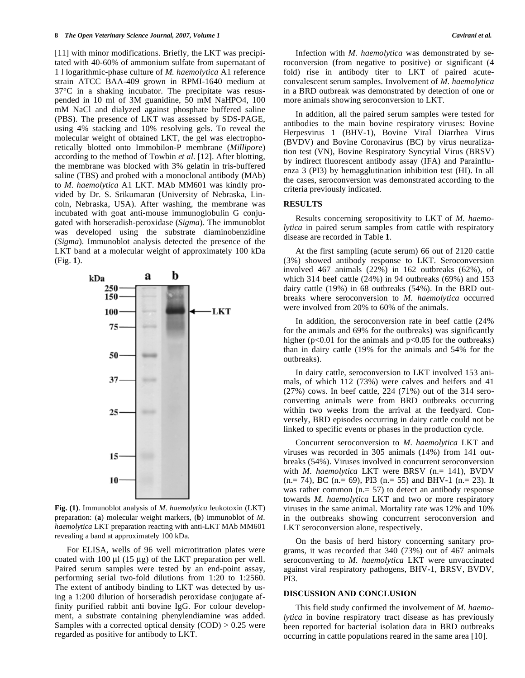[11] with minor modifications. Briefly, the LKT was precipitated with 40-60% of ammonium sulfate from supernatant of 1 l logarithmic-phase culture of *M. haemolytica* A1 reference strain ATCC BAA-409 grown in RPMI-1640 medium at 37°C in a shaking incubator. The precipitate was resuspended in 10 ml of 3M guanidine, 50 mM NaHPO4, 100 mM NaCl and dialyzed against phosphate buffered saline (PBS). The presence of LKT was assessed by SDS-PAGE, using 4% stacking and 10% resolving gels. To reveal the molecular weight of obtained LKT, the gel was electrophoretically blotted onto Immobilon-P membrane (*Millipore*) according to the method of Towbin *et al*. [12]. After blotting, the membrane was blocked with 3% gelatin in tris-buffered saline (TBS) and probed with a monoclonal antibody (MAb) to *M. haemolytica* A1 LKT. MAb MM601 was kindly provided by Dr. S. Srikumaran (University of Nebraska, Lincoln, Nebraska, USA). After washing, the membrane was incubated with goat anti-mouse immunoglobulin G conjugated with horseradish-peroxidase (*Sigma*). The immunoblot was developed using the substrate diaminobenzidine (*Sigma*). Immunoblot analysis detected the presence of the LKT band at a molecular weight of approximately 100 kDa (Fig. **1**).



**Fig. (1)**. Immunoblot analysis of *M. haemolytica* leukotoxin (LKT) preparation: (**a**) molecular weight markers, (**b**) immunoblot of *M. haemolytica* LKT preparation reacting with anti-LKT MAb MM601 revealing a band at approximately 100 kDa.

 For ELISA, wells of 96 well microtitration plates were coated with 100 μl  $(15 \mu g)$  of the LKT preparation per well. Paired serum samples were tested by an end-point assay, performing serial two-fold dilutions from 1:20 to 1:2560. The extent of antibody binding to LKT was detected by using a 1:200 dilution of horseradish peroxidase conjugate affinity purified rabbit anti bovine IgG. For colour development, a substrate containing phenylendiamine was added. Samples with a corrected optical density  $(COD) > 0.25$  were regarded as positive for antibody to LKT.

 Infection with *M. haemolytica* was demonstrated by seroconversion (from negative to positive) or significant (4 fold) rise in antibody titer to LKT of paired acuteconvalescent serum samples. Involvement of *M. haemolytica* in a BRD outbreak was demonstrated by detection of one or more animals showing seroconversion to LKT.

 In addition, all the paired serum samples were tested for antibodies to the main bovine respiratory viruses: Bovine Herpesvirus 1 (BHV-1), Bovine Viral Diarrhea Virus (BVDV) and Bovine Coronavirus (BC) by virus neuralization test (VN), Bovine Respiratory Syncytial Virus (BRSV) by indirect fluorescent antibody assay (IFA) and Parainfluenza 3 (PI3) by hemagglutination inhibition test (HI). In all the cases, seroconversion was demonstrated according to the criteria previously indicated.

#### **RESULTS**

 Results concerning seropositivity to LKT of *M. haemolytica* in paired serum samples from cattle with respiratory disease are recorded in Table **1**.

 At the first sampling (acute serum) 66 out of 2120 cattle (3%) showed antibody response to LKT. Seroconversion involved 467 animals (22%) in 162 outbreaks (62%), of which 314 beef cattle (24%) in 94 outbreaks (69%) and 153 dairy cattle (19%) in 68 outbreaks (54%). In the BRD outbreaks where seroconversion to *M. haemolytica* occurred were involved from 20% to 60% of the animals.

 In addition, the seroconversion rate in beef cattle (24% for the animals and 69% for the outbreaks) was significantly higher ( $p<0.01$  for the animals and  $p<0.05$  for the outbreaks) than in dairy cattle (19% for the animals and 54% for the outbreaks).

 In dairy cattle, seroconversion to LKT involved 153 animals, of which 112 (73%) were calves and heifers and 41 (27%) cows. In beef cattle, 224 (71%) out of the 314 seroconverting animals were from BRD outbreaks occurring within two weeks from the arrival at the feedyard. Conversely, BRD episodes occurring in dairy cattle could not be linked to specific events or phases in the production cycle.

 Concurrent seroconversion to *M. haemolytica* LKT and viruses was recorded in 305 animals (14%) from 141 outbreaks (54%). Viruses involved in concurrent seroconversion with *M. haemolytica* LKT were BRSV (n.= 141), BVDV  $(n= 74)$ , BC  $(n= 69)$ , PI3  $(n= 55)$  and BHV-1  $(n= 23)$ . It was rather common  $(n= 57)$  to detect an antibody response towards *M. haemolytica* LKT and two or more respiratory viruses in the same animal. Mortality rate was 12% and 10% in the outbreaks showing concurrent seroconversion and LKT seroconversion alone, respectively.

 On the basis of herd history concerning sanitary programs, it was recorded that 340 (73%) out of 467 animals seroconverting to *M. haemolytica* LKT were unvaccinated against viral respiratory pathogens, BHV-1, BRSV, BVDV, PI3.

# **DISCUSSION AND CONCLUSION**

 This field study confirmed the involvement of *M. haemolytica* in bovine respiratory tract disease as has previously been reported for bacterial isolation data in BRD outbreaks occurring in cattle populations reared in the same area [10].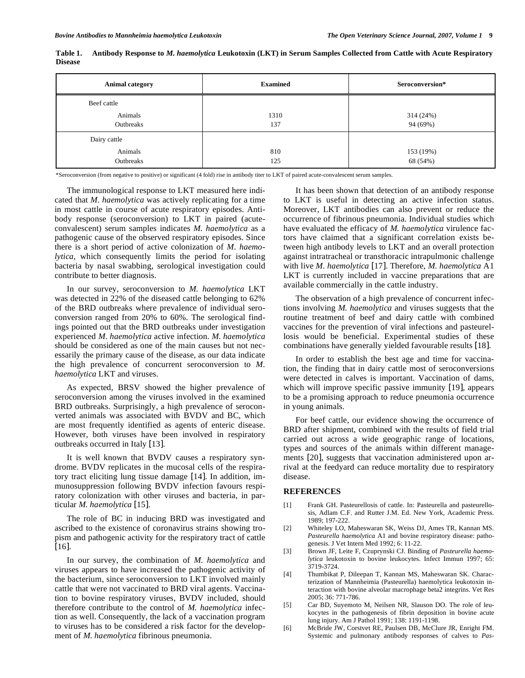| <b>Animal category</b> | <b>Examined</b> | Seroconversion* |
|------------------------|-----------------|-----------------|
| Beef cattle            |                 |                 |
| Animals                | 1310            | 314 (24%)       |
| Outbreaks              | 137             | 94 (69%)        |
| Dairy cattle           |                 |                 |
| Animals                | 810             | 153 (19%)       |
| Outbreaks              | 125             | 68 (54%)        |

**Table 1. Antibody Response to** *M. haemolytica* **Leukotoxin (LKT) in Serum Samples Collected from Cattle with Acute Respiratory Disease** 

\*Seroconversion (from negative to positive) or significant (4 fold) rise in antibody titer to LKT of paired acute-convalescent serum samples.

 The immunological response to LKT measured here indicated that *M. haemolytica* was actively replicating for a time in most cattle in course of acute respiratory episodes. Antibody response (seroconversion) to LKT in paired (acuteconvalescent) serum samples indicates *M. haemolytica* as a pathogenic cause of the observed respiratory episodes. Since there is a short period of active colonization of *M. haemolytica*, which consequently limits the period for isolating bacteria by nasal swabbing, serological investigation could contribute to better diagnosis.

 In our survey, seroconversion to *M. haemolytica* LKT was detected in 22% of the diseased cattle belonging to 62% of the BRD outbreaks where prevalence of individual seroconversion ranged from 20% to 60%. The serological findings pointed out that the BRD outbreaks under investigation experienced *M. haemolytica* active infection. *M. haemolytica* should be considered as one of the main causes but not necessarily the primary cause of the disease, as our data indicate the high prevalence of concurrent seroconversion to *M. haemolytica* LKT and viruses.

 As expected, BRSV showed the higher prevalence of seroconversion among the viruses involved in the examined BRD outbreaks. Surprisingly, a high prevalence of seroconverted animals was associated with BVDV and BC, which are most frequently identified as agents of enteric disease. However, both viruses have been involved in respiratory outbreaks occurred in Italy [13].

 It is well known that BVDV causes a respiratory syndrome. BVDV replicates in the mucosal cells of the respiratory tract eliciting lung tissue damage [14]. In addition, immunosuppression following BVDV infection favours respiratory colonization with other viruses and bacteria, in particular *M. haemolytica* [15].

 The role of BC in inducing BRD was investigated and ascribed to the existence of coronavirus strains showing tropism and pathogenic activity for the respiratory tract of cattle [16].

 In our survey, the combination of *M. haemolytica* and viruses appears to have increased the pathogenic activity of the bacterium, since seroconversion to LKT involved mainly cattle that were not vaccinated to BRD viral agents. Vaccination to bovine respiratory viruses, BVDV included, should therefore contribute to the control of *M. haemolytica* infection as well. Consequently, the lack of a vaccination program to viruses has to be considered a risk factor for the development of *M. haemolytica* fibrinous pneumonia.

 It has been shown that detection of an antibody response to LKT is useful in detecting an active infection status. Moreover, LKT antibodies can also prevent or reduce the occurrence of fibrinous pneumonia. Individual studies which have evaluated the efficacy of *M. haemolytica* virulence factors have claimed that a significant correlation exists between high antibody levels to LKT and an overall protection against intratracheal or transthoracic intrapulmonic challenge with live *M. haemolytica* [17]. Therefore, *M. haemolytica* A1 LKT is currently included in vaccine preparations that are available commercially in the cattle industry.

 The observation of a high prevalence of concurrent infections involving *M. haemolytica* and viruses suggests that the routine treatment of beef and dairy cattle with combined vaccines for the prevention of viral infections and pasteurellosis would be beneficial. Experimental studies of these combinations have generally yielded favourable results [18].

 In order to establish the best age and time for vaccination, the finding that in dairy cattle most of seroconversions were detected in calves is important. Vaccination of dams, which will improve specific passive immunity [19], appears to be a promising approach to reduce pneumonia occurrence in young animals.

 For beef cattle, our evidence showing the occurrence of BRD after shipment, combined with the results of field trial carried out across a wide geographic range of locations, types and sources of the animals within different managements [20], suggests that vaccination administered upon arrival at the feedyard can reduce mortality due to respiratory disease.

#### **REFERENCES**

- [1] Frank GH. Pasteurellosis of cattle. In: Pasteurella and pasteurellosis, Adlam C.F. and Rutter J.M. Ed. New York, Academic Press. 1989; 197-222.
- [2] Whiteley LO, Maheswaran SK, Weiss DJ, Ames TR, Kannan MS. *Pasteurella haemolytica* A1 and bovine respiratory disease: pathogenesis. J Vet Intern Med 1992; 6: 11-22.
- [3] Brown JF, Leite F, Czuprynski CJ. Binding of *Pasteurella haemolytica* leukotoxin to bovine leukocytes. Infect Immun 1997; 65: 3719-3724.
- [4] Thumbikat P, Dileepan T, Kannan MS, Maheswaran SK. Characterization of Mannheimia (Pasteurella) haemolytica leukotoxin interaction with bovine alveolar macrophage beta2 integrins. Vet Res 2005; 36: 771-786.
- [5] Car BD, Suyemoto M, Neilsen NR, Slauson DO. The role of leukocytes in the pathogenesis of fibrin deposition in bovine acute lung injury. Am J Pathol 1991; 138: 1191-1198.
- [6] McBride JW, Corstvet RE, Paulsen DB, McClure JR, Enright FM. Systemic and pulmonary antibody responses of calves to *Pas-*